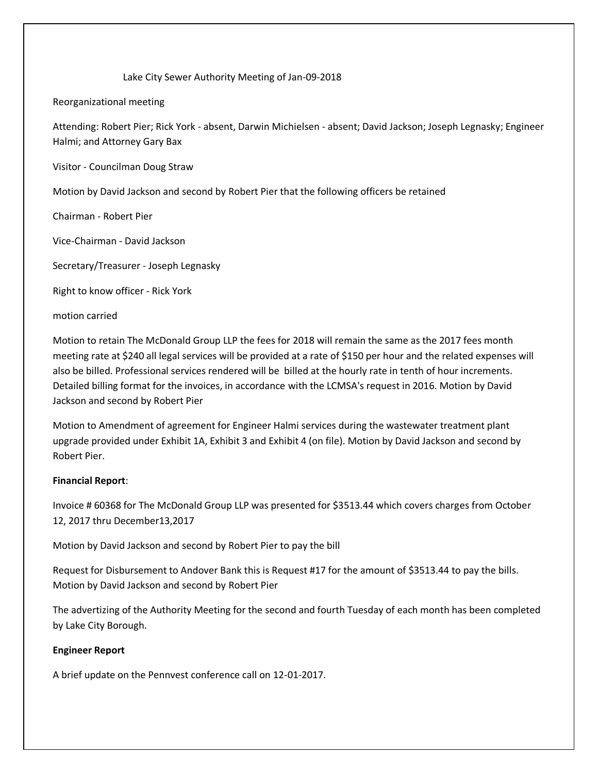Lake City Sewer Authority Meeting of Jan-09-2018

Reorganizational meeting

Attending: Robert Pier; Rick York - absent, Darwin Michielsen - absent; David Jackson; Joseph Legnasky; Engineer Halmi; and Attorney Gary Bax

Visitor - Councilman Doug Straw

Motion by David Jackson and second by Robert Pier that the following officers be retained

Chairman - Robert Pier

Vice-Chairman - David Jackson

Secretary/Treasurer - Joseph Legnasky

Right to know officer - Rick York

motion carried

Motion to retain The McDonald Group LLP the fees for 2018 will remain the same as the 2017 fees month meeting rate at \$240 all legal services will be provided at a rate of \$150 per hour and the related expenses will also be billed. Professional services rendered will be billed at the hourly rate in tenth of hour increments. Detailed billing format for the invoices, in accordance with the LCMSA's request in 2016. Motion by David Jackson and second by Robert Pier

Motion to Amendment of agreement for Engineer Halmi services during the wastewater treatment plant upgrade provided under Exhibit 1A, Exhibit 3 and Exhibit 4 (on file). Motion by David Jackson and second by Robert Pier.

## **Financial Report**:

Invoice # 60368 for The McDonald Group LLP was presented for \$3513.44 which covers charges from October 12, 2017 thru December13,2017

Motion by David Jackson and second by Robert Pier to pay the bill

Request for Disbursement to Andover Bank this is Request #17 for the amount of \$3513.44 to pay the bills. Motion by David Jackson and second by Robert Pier

The advertizing of the Authority Meeting for the second and fourth Tuesday of each month has been completed by Lake City Borough.

## **Engineer Report**

A brief update on the Pennvest conference call on 12-01-2017.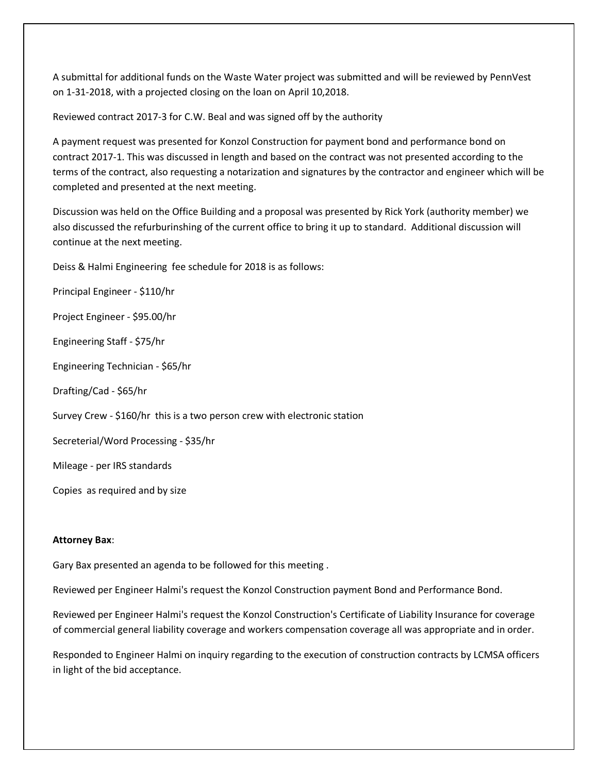A submittal for additional funds on the Waste Water project was submitted and will be reviewed by PennVest on 1-31-2018, with a projected closing on the loan on April 10,2018.

Reviewed contract 2017-3 for C.W. Beal and was signed off by the authority

A payment request was presented for Konzol Construction for payment bond and performance bond on contract 2017-1. This was discussed in length and based on the contract was not presented according to the terms of the contract, also requesting a notarization and signatures by the contractor and engineer which will be completed and presented at the next meeting.

Discussion was held on the Office Building and a proposal was presented by Rick York (authority member) we also discussed the refurburinshing of the current office to bring it up to standard. Additional discussion will continue at the next meeting.

Deiss & Halmi Engineering fee schedule for 2018 is as follows:

Principal Engineer - \$110/hr

Project Engineer - \$95.00/hr

Engineering Staff - \$75/hr

Engineering Technician - \$65/hr

Drafting/Cad - \$65/hr

Survey Crew - \$160/hr this is a two person crew with electronic station

Secreterial/Word Processing - \$35/hr

Mileage - per IRS standards

Copies as required and by size

## **Attorney Bax**:

Gary Bax presented an agenda to be followed for this meeting .

Reviewed per Engineer Halmi's request the Konzol Construction payment Bond and Performance Bond.

Reviewed per Engineer Halmi's request the Konzol Construction's Certificate of Liability Insurance for coverage of commercial general liability coverage and workers compensation coverage all was appropriate and in order.

Responded to Engineer Halmi on inquiry regarding to the execution of construction contracts by LCMSA officers in light of the bid acceptance.